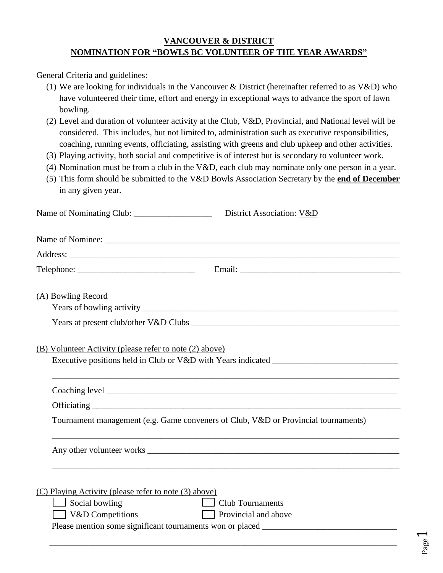## **VANCOUVER & DISTRICT NOMINATION FOR "BOWLS BC VOLUNTEER OF THE YEAR AWARDS"**

General Criteria and guidelines:

- (1) We are looking for individuals in the Vancouver & District (hereinafter referred to as V&D) who have volunteered their time, effort and energy in exceptional ways to advance the sport of lawn bowling.
- (2) Level and duration of volunteer activity at the Club, V&D, Provincial, and National level will be considered. This includes, but not limited to, administration such as executive responsibilities, coaching, running events, officiating, assisting with greens and club upkeep and other activities.
- (3) Playing activity, both social and competitive is of interest but is secondary to volunteer work.
- (4) Nomination must be from a club in the V&D, each club may nominate only one person in a year.
- (5) This form should be submitted to the V&D Bowls Association Secretary by the **end of December** in any given year.

|                                                                                                    | District Association: V&D                                                         |
|----------------------------------------------------------------------------------------------------|-----------------------------------------------------------------------------------|
|                                                                                                    |                                                                                   |
|                                                                                                    |                                                                                   |
|                                                                                                    |                                                                                   |
| (A) Bowling Record                                                                                 |                                                                                   |
|                                                                                                    |                                                                                   |
|                                                                                                    |                                                                                   |
| (B) Volunteer Activity (please refer to note (2) above)                                            |                                                                                   |
|                                                                                                    | ,我们也不能在这里的时候,我们也不能在这里的时候,我们也不能会在这里的时候,我们也不能会在这里的时候,我们也不能会在这里的时候,我们也不能会在这里的时候,我们也不 |
|                                                                                                    |                                                                                   |
| Tournament management (e.g. Game conveners of Club, V&D or Provincial tournaments)                 |                                                                                   |
|                                                                                                    |                                                                                   |
| (C) Playing Activity (please refer to note (3) above)<br>$\Box$ Social bowling<br>V&D Competitions | Club Tournaments<br>Provincial and above                                          |